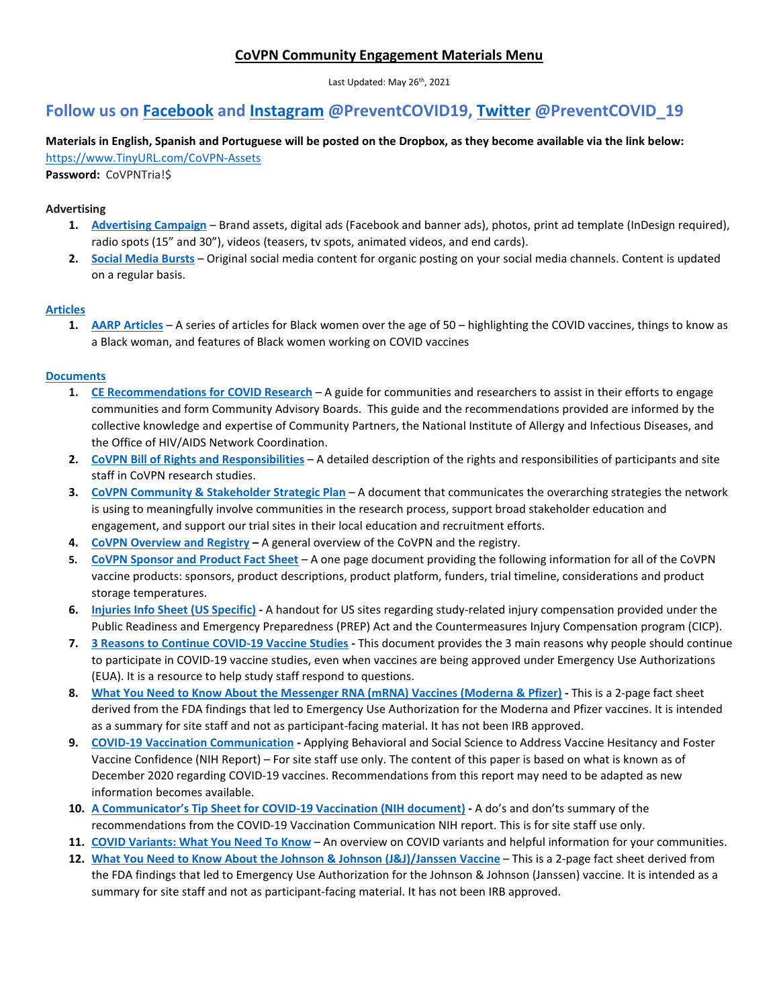### **CoVPN Community Engagement Materials Menu**

Last Updated: May 26<sup>th</sup>, 2021

## **Follow us on [Facebook](https://www.facebook.com/PreventCOVID19) and [Instagram](https://www.instagram.com/PreventCOVID19/) @PreventCOVID19, [Twitter](https://twitter.com/PreventCOVID_19) @PreventCOVID\_19**

# **Materials in English, Spanish and Portuguese will be posted on the Dropbox, as they become available via the link below:**

[https://www.TinyURL.com/CoVPN-Assets](https://www.tinyurl.com/CoVPN-Assets)

**Password:** CoVPNTria!\$

#### **Advertising**

- **1. [Advertising Campaign](https://www.dropbox.com/sh/6gt8f4r82ll86vz/AADZa_BU9YnCCwHmrRPDtOEKa?dl=0)** Brand assets, digital ads (Facebook and banner ads), photos, print ad template (InDesign required), radio spots (15" and 30"), videos (teasers, tv spots, animated videos, and end cards).
- **2. [Social Media Bursts](https://drive.google.com/drive/folders/1oBXbt9I515zZMU5yAD7wOc_rWhEOQmCq)** Original social media content for organic posting on your social media channels. Content is updated on a regular basis.

#### **[Articles](https://www.dropbox.com/sh/m01civyf6c3hrj3/AAAfTolZHioFVEjIJdRPVUBFa?dl=0)**

**1. [AARP Articles](https://www.dropbox.com/sh/4w6bfhknelm96gf/AACFVnru18NQGDIA7fV8Qb7Ya?dl=0)** – A series of articles for Black women over the age of 50 – highlighting the COVID vaccines, things to know as a Black woman, and features of Black women working on COVID vaccines

#### **[Documents](https://www.dropbox.com/sh/bncl8ry6og28ncj/AADhgTQGhuJvhumIauK1M377a?dl=0)**

- **1. [CE Recommendations for COVID Research](https://www.dropbox.com/sh/r9hgdbfza3zmh8c/AAC0PSeMfCSNAnV7oUZ-A33ga?dl=0)** A guide for communities and researchers to assist in their efforts to engage communities and form Community Advisory Boards. This guide and the recommendations provided are informed by the collective knowledge and expertise of Community Partners, the National Institute of Allergy and Infectious Diseases, and the Office of HIV/AIDS Network Coordination.
- **2. CoVPN [Bill of Rights and Responsibilities](https://www.dropbox.com/sh/pnyimzr6zucn8sd/AABEnVf5oHy6eTtkqZM_2C7Ma?dl=0)** A detailed description of the rights and responsibilities of participants and site staff in CoVPN research studies.
- **3. [CoVPN Community & Stakeholder Strategic Plan](https://www.dropbox.com/sh/z9hv0snrdo93xsj/AABuzn9xndCyDUg2iz8ATPqMa?dl=0)** A document that communicates the overarching strategies the network is using to meaningfully involve communities in the research process, support broad stakeholder education and engagement, and support our trial sites in their local education and recruitment efforts.
- **4. [CoVPN Overview and Registry](https://www.dropbox.com/sh/jil5a0hfmujtj8f/AACBRv55BKa16AIJ_BXR_t6ka?dl=0) –** A general overview of the CoVPN and the registry.
- **5. [CoVPN Sponsor and Product Fact Sheet](https://www.dropbox.com/sh/zby55b7ppjz18qt/AADHPSgUu7cNCpL-BV8ycjrTa?dl=0)** A one page document providing the following information for all of the CoVPN vaccine products: sponsors, product descriptions, product platform, funders, trial timeline, considerations and product storage temperatures.
- **6. [Injuries Info Sheet](https://www.dropbox.com/sh/76herfmw3555l8p/AABjc0tQ3SF-dpjYWft7R2MUa?dl=0) (US Specific) -** A handout for US sites regarding study-related injury compensation provided under the Public Readiness and Emergency Preparedness (PREP) Act and the Countermeasures Injury Compensation program (CICP).
- **7. 3 [Reasons to Continue COVID-19 Vaccine Studies](https://www.dropbox.com/sh/2uowav2y5rpk7c5/AAA5uRt0Ri4Jac4zVXAg6CEKa?dl=0) -** This document provides the 3 main reasons why people should continue to participate in COVID-19 vaccine studies, even when vaccines are being approved under Emergency Use Authorizations (EUA). It is a resource to help study staff respond to questions.
- **8. [What You Need to Know About the Messenger RNA \(mRNA\) Vaccines \(Moderna & Pfizer\)](https://www.dropbox.com/sh/d7w9p6of2vmu8kd/AABZvpRszB91FKG2_FhdCF1ca?dl=0) -** This is a 2-page fact sheet derived from the FDA findings that led to Emergency Use Authorization for the Moderna and Pfizer vaccines. It is intended as a summary for site staff and not as participant-facing material. It has not been IRB approved.
- **9. [COVID-19 Vaccination Communication](https://www.dropbox.com/sh/bugux7vtfxyt0eu/AADBbdOXIv_XJ92TttqSFkRCa?dl=0) -** Applying Behavioral and Social Science to Address Vaccine Hesitancy and Foster Vaccine Confidence (NIH Report) – For site staff use only. The content of this paper is based on what is known as of December 2020 regarding COVID-19 vaccines. Recommendations from this report may need to be adapted as new information becomes available.
- **10. [A Communicator's Tip Sheet for COVID-19 Vaccination \(NIH document\)](https://www.dropbox.com/sh/l8ag2f0p89rw2r9/AAA8bywd7oMhMF5NWeHeU9uea?dl=0) -** A do's and don'ts summary of the recommendations from the COVID-19 Vaccination Communication NIH report. This is for site staff use only.
- **11. [COVID Variants: What You Need To Know](https://www.dropbox.com/sh/8mu8isjtan6049b/AABDRsRXn8OjS1Pyx50cIJJja?dl=0)** An overview on COVID variants and helpful information for your communities.
- **12. [What You Need to Know About the Johnson & Johnson \(J&J\)/Janssen Vaccine](https://www.dropbox.com/sh/udrbsbm1qvsp3ug/AABlC30lFdFRT5ije_N65t5na?dl=0)** This is a 2-page fact sheet derived from the FDA findings that led to Emergency Use Authorization for the Johnson & Johnson (Janssen) vaccine. It is intended as a summary for site staff and not as participant-facing material. It has not been IRB approved.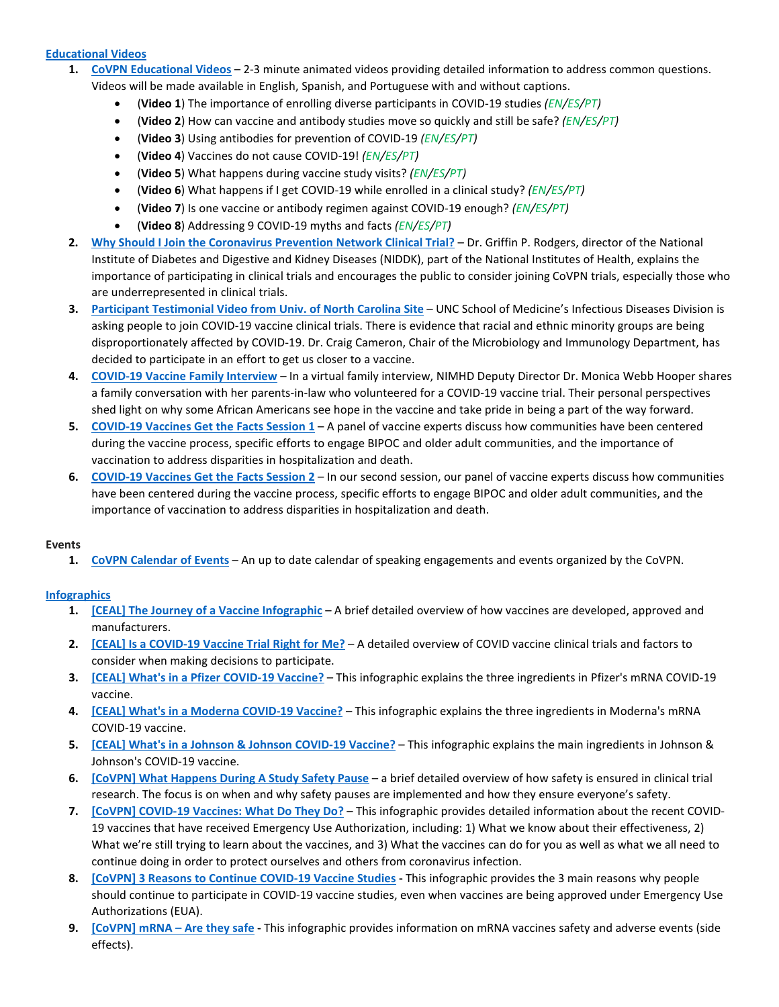#### **[Educational Videos](https://www.dropbox.com/sh/neuguvl2fkl5wd2/AAB6GpT1P3IPvnHm-ILMelZFa?dl=0)**

- **1. [CoVPN Educational Videos](https://www.dropbox.com/sh/neuguvl2fkl5wd2/AAB6GpT1P3IPvnHm-ILMelZFa?dl=0)** 2-3 minute animated videos providing detailed information to address common questions. Videos will be made available in English, Spanish, and Portuguese with and without captions.
	- (**Video 1**) The importance of enrolling diverse participants in COVID-19 studies *(EN/ES/PT)*
	- (**Video 2**) How can vaccine and antibody studies move so quickly and still be safe? *(EN/ES/PT)*
	- (**Video 3**) Using antibodies for prevention of COVID-19 *(EN/ES/PT)*
	- (**Video 4**) Vaccines do not cause COVID-19! *(EN/ES/PT)*
	- (**Video 5**) What happens during vaccine study visits? *(EN/ES/PT)*
	- (**Video 6**) What happens if I get COVID-19 while enrolled in a clinical study? *(EN/ES/PT)*
	- (**Video 7**) Is one vaccine or antibody regimen against COVID-19 enough? *(EN/ES/PT)*
	- (**Video 8**) Addressing 9 COVID-19 myths and facts *(EN/ES/PT)*
- **2. [Why Should I Join the Coronavirus Prevention Network Clinical Trial?](https://youtu.be/L5yOHCpSx5U)** Dr. Griffin P. Rodgers, director of the National Institute of Diabetes and Digestive and Kidney Diseases (NIDDK), part of the National Institutes of Health, explains the importance of participating in clinical trials and encourages the public to consider joining CoVPN trials, especially those who are underrepresented in clinical trials.
- **3. [Participant Testimonial Video from Univ. of North Carolina Site](https://m.youtube.com/watch?feature=youtu.be&v=ky5pUKm-mIk)** UNC School of Medicine's Infectious Diseases Division is asking people to join COVID-19 vaccine clinical trials. There is evidence that racial and ethnic minority groups are being disproportionately affected by COVID-19. Dr. Craig Cameron, Chair of the Microbiology and Immunology Department, has decided to participate in an effort to get us closer to a vaccine.
- **4. [COVID-19 Vaccine Family Interview](https://youtu.be/nDfHjylH6TQ)** In a virtual family interview, NIMHD Deputy Director Dr. Monica Webb Hooper shares a family conversation with her parents-in-law who volunteered for a COVID-19 vaccine trial. Their personal perspectives shed light on why some African Americans see hope in the vaccine and take pride in being a part of the way forward.
- **5. [COVID-19 Vaccines Get the Facts Session 1](https://www.youtube.com/watch?v=p5xlMSsPMIg&t=730s)** A panel of vaccine experts discuss how communities have been centered during the vaccine process, specific efforts to engage BIPOC and older adult communities, and the importance of vaccination to address disparities in hospitalization and death.
- **6. [COVID-19 Vaccines Get the Facts Session 2](https://www.youtube.com/watch?v=Zd6Rh2j9vAM&t=14s)** In our second session, our panel of vaccine experts discuss how communities have been centered during the vaccine process, specific efforts to engage BIPOC and older adult communities, and the importance of vaccination to address disparities in hospitalization and death.

#### **Events**

**1. [CoVPN Calendar of Events](https://www.dropbox.com/sh/w4h88fkdiub5c30/AADqLFyAu8InL5gUXWe3Hdj3a?dl=0)** – An up to date calendar of speaking engagements and events organized by the CoVPN.

#### **[Infographics](https://www.dropbox.com/sh/ar7sahhoy64cpmf/AAAs_Z_1Gcm_VQnwyj-d8-vga?dl=0)**

- **1. [\[CEAL\] The Journey of a Vaccine Infographic](https://www.dropbox.com/sh/g3i85tmswdym1z3/AABuTM37q_V7CMWb4hUpRGdJa?dl=0)** A brief detailed overview of how vaccines are developed, approved and manufacturers.
- **2. [\[CEAL\] Is a COVID-19 Vaccine Trial Right for Me?](https://www.dropbox.com/sh/etov3o09t5u1ic4/AAATc95Kx4SACVzP5XHlI4oba?dl=0)** A detailed overview of COVID vaccine clinical trials and factors to consider when making decisions to participate.
- **3. [\[CEAL\] What's in a Pfizer COVID-19 Vaccine?](https://www.dropbox.com/sh/uiennxx2e4e1rqe/AAAN_geDsOzPLu-2FnY7nke6a?dl=0)** This infographic explains the three ingredients in Pfizer's mRNA COVID-19 vaccine.
- **4. [\[CEAL\] What's in a Moderna COVID-19 Vaccine?](https://www.dropbox.com/sh/efkujo8mzutisd5/AACs1XRe_dRUKS4geJk5KZLsa?dl=0)** This infographic explains the three ingredients in Moderna's mRNA COVID-19 vaccine.
- **5. [\[CEAL\] What's in a Johnson & Johnson COVID-19 Vaccine?](https://www.dropbox.com/sh/k3w0j8ti785qwn3/AAAJaPOAHftxzXP0YqApcN_ka?dl=0)** This infographic explains the main ingredients in Johnson & Johnson's COVID-19 vaccine.
- **6. [\[CoVPN\] What Happens During A Study Safety Pause](https://www.dropbox.com/sh/09qtg0afxui7wop/AABXjn6P0vx8LsFTI7ngceEaa?dl=0)** a brief detailed overview of how safety is ensured in clinical trial research. The focus is on when and why safety pauses are implemented and how they ensure everyone's safety.
- **7. [\[CoVPN\] COVID-19 Vaccines: What Do They Do?](https://www.dropbox.com/sh/xtfbkaiok868u1b/AAClfJZZgp32Lb2bVaDtSKgva?dl=0)** This infographic provides detailed information about the recent COVID-19 vaccines that have received Emergency Use Authorization, including: 1) What we know about their effectiveness, 2) What we're still trying to learn about the vaccines, and 3) What the vaccines can do for you as well as what we all need to continue doing in order to protect ourselves and others from coronavirus infection.
- **8. [\[CoVPN\] 3 Reasons to Continue COVID-19 Vaccine Studies](https://www.dropbox.com/sh/pepi7h88lwjvvq0/AADxgvtQks9AJWhDB9-LCp9Fa?dl=0) -** This infographic provides the 3 main reasons why people should continue to participate in COVID-19 vaccine studies, even when vaccines are being approved under Emergency Use Authorizations (EUA).
- **9. [\[CoVPN\] mRNA –](https://www.dropbox.com/sh/aumd0bqnho1s4kr/AACSR2FoURV9OA6Ns-jmnfBva?dl=0) Are they safe -** This infographic provides information on mRNA vaccines safety and adverse events (side effects).